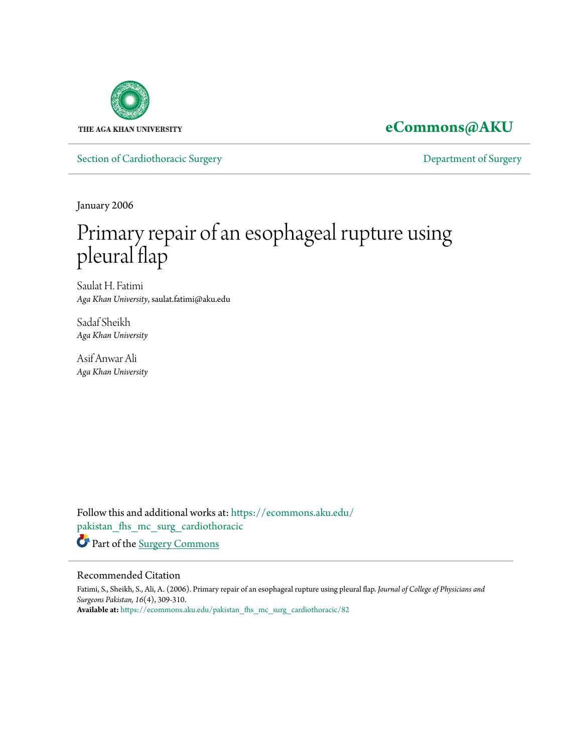

**[eCommons@AKU](https://ecommons.aku.edu?utm_source=ecommons.aku.edu%2Fpakistan_fhs_mc_surg_cardiothoracic%2F82&utm_medium=PDF&utm_campaign=PDFCoverPages)**

[Section of Cardiothoracic Surgery](https://ecommons.aku.edu/pakistan_fhs_mc_surg_cardiothoracic?utm_source=ecommons.aku.edu%2Fpakistan_fhs_mc_surg_cardiothoracic%2F82&utm_medium=PDF&utm_campaign=PDFCoverPages) **Exercise 2018** [Department of Surgery](https://ecommons.aku.edu/pakistan_fhs_mc_surg?utm_source=ecommons.aku.edu%2Fpakistan_fhs_mc_surg_cardiothoracic%2F82&utm_medium=PDF&utm_campaign=PDFCoverPages)

January 2006

# Primary repair of an esophageal rupture using pleural flap

Saulat H. Fatimi *Aga Khan University*, saulat.fatimi@aku.edu

Sadaf Sheikh *Aga Khan University*

Asif Anwar Ali *Aga Khan University*

Follow this and additional works at: [https://ecommons.aku.edu/](https://ecommons.aku.edu/pakistan_fhs_mc_surg_cardiothoracic?utm_source=ecommons.aku.edu%2Fpakistan_fhs_mc_surg_cardiothoracic%2F82&utm_medium=PDF&utm_campaign=PDFCoverPages) [pakistan\\_fhs\\_mc\\_surg\\_cardiothoracic](https://ecommons.aku.edu/pakistan_fhs_mc_surg_cardiothoracic?utm_source=ecommons.aku.edu%2Fpakistan_fhs_mc_surg_cardiothoracic%2F82&utm_medium=PDF&utm_campaign=PDFCoverPages) Part of the [Surgery Commons](http://network.bepress.com/hgg/discipline/706?utm_source=ecommons.aku.edu%2Fpakistan_fhs_mc_surg_cardiothoracic%2F82&utm_medium=PDF&utm_campaign=PDFCoverPages)

#### Recommended Citation

Fatimi, S., Sheikh, S., Ali, A. (2006). Primary repair of an esophageal rupture using pleural flap. *Journal of College of Physicians and Surgeons Pakistan, 16*(4), 309-310. **Available at:** [https://ecommons.aku.edu/pakistan\\_fhs\\_mc\\_surg\\_cardiothoracic/82](https://ecommons.aku.edu/pakistan_fhs_mc_surg_cardiothoracic/82)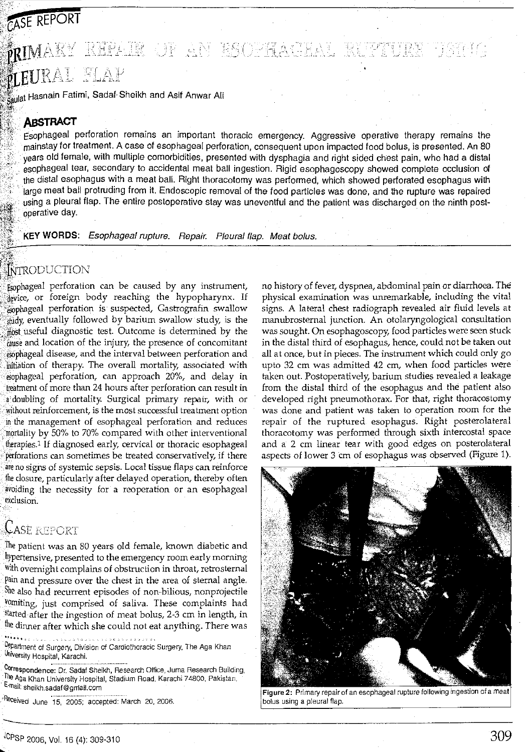# CASE REPORT 西田田  $\mathbf{\hat{R}}\mathbf{I}\mathbf{M}\mathrm{A}\mathbf{K}\mathrm{Y}$  . Repair of an esc  $\overline{\nu}$ EURAL FLAP

't~- *l!*  l~ulat Hasnain Fatimi, Sadaf Sheikh and Asif Anwar Ali

### **ABSTRACT**

 $^{\prime\prime}$  for  $^{\prime\prime}$  , and  $^{\prime\prime}$  , and  $^{\prime\prime}$ 

{\_f~·.:  $: \mathbb{R} \rightarrow \mathbb{R}$ :::;~'  $~\sim$   $~\sim$ 

Esophageal perforation remains an important thoracic emergency. Aggressive operative therapy remains the mainstay for treatment. A case of esophageal perforation, consequent upon impacted food bolus, is presented. An 80 years old female, with multiple comorbidities, presented with dysphagia and right sided chest pain, who had a distal esophageal tear, secondary to accidental meat ball ingestion. Rigid esophagoscopy showed complete occlusion of the distal esophagus with a meat ball. Right thoracotomy was performed, which showed perforated esophagus with large meat ball protruding from it. Endoscopic removal of the food particles was done, and the rupture was repaired using a pleural flap. The entire postoperative stay was uneventful and the patient was discharged on the ninth post operative day.

·KEY WORDS: Esophageal rupture. Repair. Pleural flap. Meat bolus.

#### *e.-t.-··.'*   $\mathbb{R}^{N}$ INMODUCTIOL $\mathcal{S}$

Esophageal perforation can be caused by any instrument, device, or foreign body reaching the hypopharynx. If ;·:e,;,phageal perforation is suspected, Gastrografin swallow study, eventually followed by barium swallow study, is the  $\frac{1}{2}$  most useful diagnostic test. Outcome is determined by the cause and location of the injury, the presence of concomitant esophageal disease, and the interval between perforation and initiation of therapy. The overall mortality, associated with esophageal perforation, can approach 20%, and delay in treatment of more than 24 hours after perforation can result in a•doubling of mortality. Surgical primary repair, with or without reinforcement, is the most successful treatment option in the management of esophageal perforation and reduces mortality by 50% to 70% compared with other interventional therapies.<sup>1</sup> If diagnosed early, cervical or thoracic esophageal perforations can sometimes be treated conservatively, if there are no signs of systemic sepsis. Local tissue flaps can reinforce the closure, particularly after delayed operation, thereby often avoiding the necessity for a reoperation or an esophageal exclusion.

# Case report

The patient was an 80 years old female, known diabetic and hyPertensive, presented to the emergency room early morning with overnight complains of obstruction in throat, retrosternal pain and pressure over the chest in the area of sternal angle. She also had recurrent episodes of non-bilious, nonprojectile vomiting, just comprised of saliva. These complaints had started after the ingestion of meat bolus, 2-3 em in length, in the dinner after which she could not eat anything. There was

رزبر ووجلاءة Department of Surgery, Division of Cardiothoracic Surgery, The Aga Khan UniVersity Hospital, Karachi.

Correspondence: Dr. Sadaf Sheikh, Research Office, Juma Research Building, The Aga Khan University Hospital, Stadium Road, Karachi 74800, Pakistan. · E-rnail: sheikh.sadaf@grriail.com

 $r^{\text{Rece}}$ ived June 15, 2005; accepted: March 20, 2006.

no history of fever, dyspnea, abdominal pain or diarrhoea. The physical examination was unremarkable, including the vital signs. A lateral chest radiograph revealed air fluid levels at manubrostemal junction. An otolaryngological consultation was sought. On esophagoscopy, food particles were seen stuck in the distal third of esophagus, hence, could not be taken out all at once, but in pieces. The instrument which could only go upto 32 em was admitted 42 em, when food particles were taken out. Postoperatively, barium studies revealed a leakage from the distal third of the esophagus and the patient also developed right pneumothorax. For that, right thoracostomy was done and patient was taken to operation room for the repair of the ruptured esophagus. Right posterolateral thoracotomy was performed through sixth intercostal space and a 2 em linear tear with good edges on posterolateral aspects of lower 3 ern of esophagus was observed (Figure 1).



Figure 2: Primary repair of an esophageal rupture following ingestion of a meat bolus using a pleural flap.